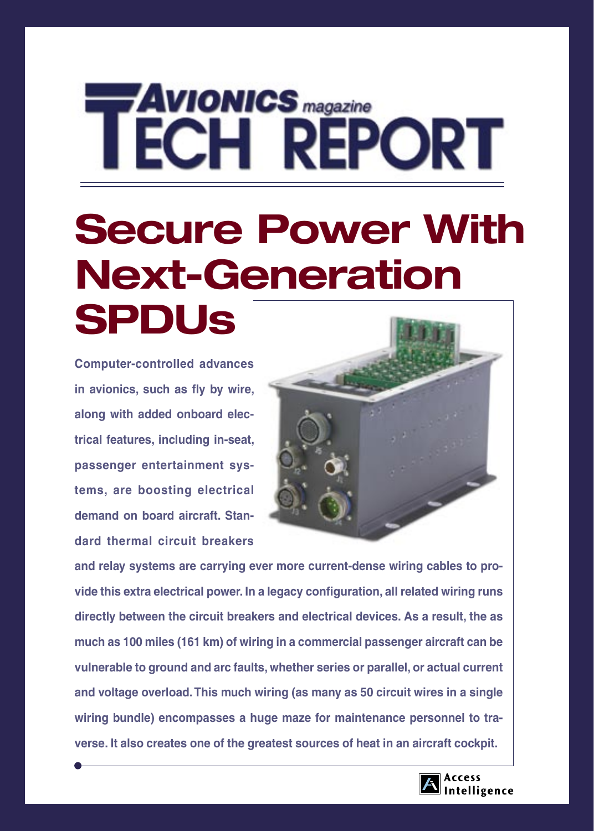# **AVIONICS** magazine **ECH REPORT**

# **Secure Power With Next-Generation SPDUs**

**Computer-controlled advances in avionics, such as fly by wire, along with added onboard electrical features, including in-seat, passenger entertainment systems, are boosting electrical demand on board aircraft. Standard thermal circuit breakers** 



**and relay systems are carrying ever more current-dense wiring cables to provide this extra electrical power. In a legacy configuration, all related wiring runs directly between the circuit breakers and electrical devices. As a result, the as much as 100 miles (161 km) of wiring in a commercial passenger aircraft can be vulnerable to ground and arc faults, whether series or parallel, or actual current and voltage overload. This much wiring (as many as 50 circuit wires in a single wiring bundle) encompasses a huge maze for maintenance personnel to traverse. It also creates one of the greatest sources of heat in an aircraft cockpit.** 

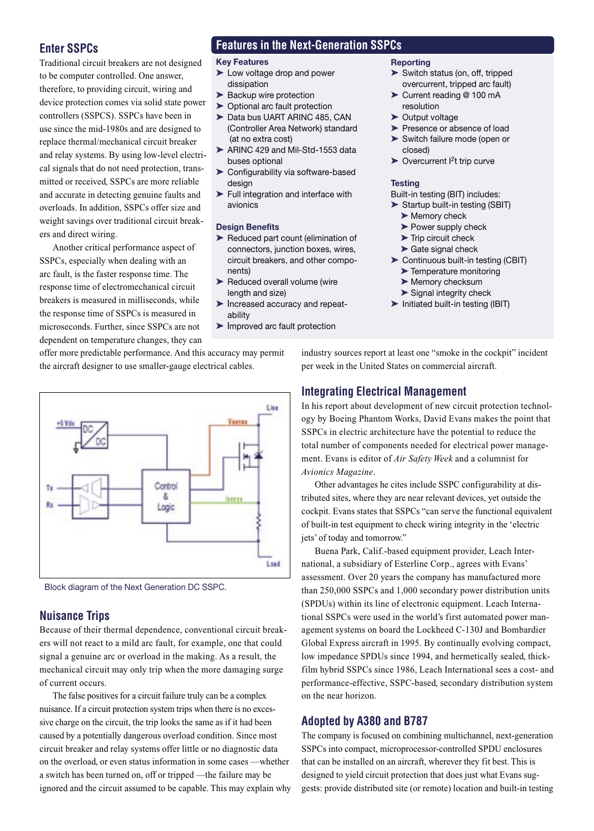## **Enter SSPCs**

Traditional circuit breakers are not designed to be computer controlled. One answer, therefore, to providing circuit, wiring and device protection comes via solid state power controllers (SSPCS). SSPCs have been in use since the mid-1980s and are designed to replace thermal/mechanical circuit breaker and relay systems. By using low-level electrical signals that do not need protection, transmitted or received, SSPCs are more reliable and accurate in detecting genuine faults and overloads. In addition, SSPCs offer size and weight savings over traditional circuit breakers and direct wiring.

Another critical performance aspect of SSPCs, especially when dealing with an arc fault, is the faster response time. The response time of electromechanical circuit breakers is measured in milliseconds, while the response time of SSPCs is measured in microseconds. Further, since SSPCs are not dependent on temperature changes, they can

# **Features in the Next-Generation SSPCs**

#### **Key Features**

- ➤ Low voltage drop and power dissipation
- ► Backup wire protection
- ▶ Optional arc fault protection
- ▶ Data bus UART ARINC 485, CAN (Controller Area Network) standard (at no extra cost)
- ▶ ARINC 429 and Mil-Std-1553 data buses optional
- ➤ Configurability via software-based design
- ➤ Full integration and interface with avionics

#### **Design Benefits**

- ➤ Reduced part count (elimination of connectors, junction boxes, wires, circuit breakers, and other compo nents)
- ▶ Reduced overall volume (wire length and size)
- ➤ Increased accuracy and repeat ability
- ➤ Improved arc fault protection

#### **Reporting**

- ➤ Switch status (on, off, tripped overcurrent, tripped arc fault)
- ➤ Current reading @ 100 mA resolution
- ▶ Output voltage
- ▶ Presence or absence of load
- ➤ Switch failure mode (open or closed)
- $\triangleright$  Overcurrent  $l^2$ t trip curve

#### **Testing**

Built-in testing (BIT) includes:

- ➤ Startup built-in testing (SBIT)
	- ➤ Memory check
	- ▶ Power supply check
	- ➤ Trip circuit check ► Gate signal check
- ➤ Continuous built-in testing (CBIT)
- ➤ Temperature monitoring
- ▶ Memory checksum
- ▶ Signal integrity check
- ➤ Initiated built-in testing (IBIT)

offer more predictable performance. And this accuracy may permit the aircraft designer to use smaller-gauge electrical cables.



Block diagram of the Next Generation DC SSPC.

### **Nuisance Trips**

Because of their thermal dependence, conventional circuit breakers will not react to a mild arc fault, for example, one that could signal a genuine arc or overload in the making. As a result, the mechanical circuit may only trip when the more damaging surge of current occurs.

 The false positives for a circuit failure truly can be a complex nuisance. If a circuit protection system trips when there is no excessive charge on the circuit, the trip looks the same as if it had been caused by a potentially dangerous overload condition. Since most circuit breaker and relay systems offer little or no diagnostic data on the overload, or even status information in some cases —whether a switch has been turned on, off or tripped —the failure may be ignored and the circuit assumed to be capable. This may explain why industry sources report at least one "smoke in the cockpit" incident per week in the United States on commercial aircraft.

# **Integrating Electrical Management**

In his report about development of new circuit protection technology by Boeing Phantom Works, David Evans makes the point that SSPCs in electric architecture have the potential to reduce the total number of components needed for electrical power management. Evans is editor of *Air Safety Week* and a columnist for *Avionics Magazine*.

Other advantages he cites include SSPC configurability at distributed sites, where they are near relevant devices, yet outside the cockpit. Evans states that SSPCs "can serve the functional equivalent of built-in test equipment to check wiring integrity in the 'electric jets' of today and tomorrow."

Buena Park, Calif.-based equipment provider, Leach International, a subsidiary of Esterline Corp., agrees with Evans' assessment. Over 20 years the company has manufactured more than 250,000 SSPCs and 1,000 secondary power distribution units (SPDUs) within its line of electronic equipment. Leach International SSPCs were used in the world's first automated power management systems on board the Lockheed C-130J and Bombardier Global Express aircraft in 1995. By continually evolving compact, low impedance SPDUs since 1994, and hermetically sealed, thickfilm hybrid SSPCs since 1986, Leach International sees a cost- and performance-effective, SSPC-based, secondary distribution system on the near horizon.

### **Adopted by A380 and B787**

The company is focused on combining multichannel, next-generation SSPCs into compact, microprocessor-controlled SPDU enclosures that can be installed on an aircraft, wherever they fit best. This is designed to yield circuit protection that does just what Evans suggests: provide distributed site (or remote) location and built-in testing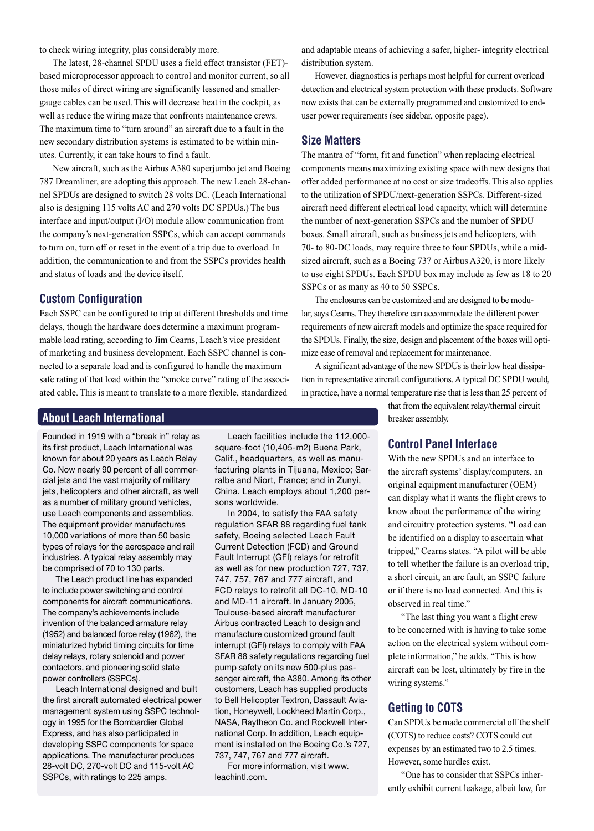to check wiring integrity, plus considerably more.

The latest, 28-channel SPDU uses a field effect transistor (FET) based microprocessor approach to control and monitor current, so all those miles of direct wiring are significantly lessened and smallergauge cables can be used. This will decrease heat in the cockpit, as well as reduce the wiring maze that confronts maintenance crews. The maximum time to "turn around" an aircraft due to a fault in the new secondary distribution systems is estimated to be within minutes. Currently, it can take hours to find a fault.

New aircraft, such as the Airbus A380 superjumbo jet and Boeing 787 Dreamliner, are adopting this approach. The new Leach 28-channel SPDUs are designed to switch 28 volts DC. (Leach International also is designing 115 volts AC and 270 volts DC SPDUs.) The bus interface and input/output (I/O) module allow communication from the company's next-generation SSPCs, which can accept commands to turn on, turn off or reset in the event of a trip due to overload. In addition, the communication to and from the SSPCs provides health and status of loads and the device itself.

#### **Custom Configuration**

Each SSPC can be configured to trip at different thresholds and time delays, though the hardware does determine a maximum programmable load rating, according to Jim Cearns, Leach's vice president of marketing and business development. Each SSPC channel is connected to a separate load and is configured to handle the maximum safe rating of that load within the "smoke curve" rating of the associated cable. This is meant to translate to a more flexible, standardized

#### **About Leach International**

Founded in 1919 with a "break in" relay as its first product, Leach International was known for about 20 years as Leach Relay Co. Now nearly 90 percent of all commercial jets and the vast majority of military jets, helicopters and other aircraft, as well as a number of military ground vehicles, use Leach components and assemblies. The equipment provider manufactures 10,000 variations of more than 50 basic types of relays for the aerospace and rail industries. A typical relay assembly may be comprised of 70 to 130 parts.

 The Leach product line has expanded to include power switching and control components for aircraft communications. The company's achievements include invention of the balanced armature relay (1952) and balanced force relay (1962), the miniaturized hybrid timing circuits for time delay relays, rotary solenoid and power contactors, and pioneering solid state power controllers (SSPCs).

 Leach International designed and built the first aircraft automated electrical power management system using SSPC technology in 1995 for the Bombardier Global Express, and has also participated in developing SSPC components for space applications. The manufacturer produces 28-volt DC, 270-volt DC and 115-volt AC SSPCs, with ratings to 225 amps.

 Leach facilities include the 112,000 square-foot (10,405-m2) Buena Park, Calif., headquarters, as well as manufacturing plants in Tijuana, Mexico; Sarralbe and Niort, France; and in Zunyi, China. Leach employs about 1,200 persons worldwide.

 In 2004, to satisfy the FAA safety regulation SFAR 88 regarding fuel tank safety, Boeing selected Leach Fault Current Detection (FCD) and Ground Fault Interrupt (GFI) relays for retrofit as well as for new production 727, 737, 747, 757, 767 and 777 aircraft, and FCD relays to retrofit all DC-10, MD-10 and MD-11 aircraft. In January 2005, Toulouse-based aircraft manufacturer Airbus contracted Leach to design and manufacture customized ground fault interrupt (GFI) relays to comply with FAA SFAR 88 safety regulations regarding fuel pump safety on its new 500-plus passenger aircraft, the A380. Among its other customers, Leach has supplied products to Bell Helicopter Textron, Dassault Aviation, Honeywell, Lockheed Martin Corp., NASA, Raytheon Co. and Rockwell International Corp. In addition, Leach equipment is installed on the Boeing Co.'s 727, 737, 747, 767 and 777 aircraft.

 For more information, visit www. leachintl.com.

and adaptable means of achieving a safer, higher- integrity electrical distribution system.

However, diagnostics is perhaps most helpful for current overload detection and electrical system protection with these products. Software now exists that can be externally programmed and customized to enduser power requirements (see sidebar, opposite page).

#### **Size Matters**

The mantra of "form, fit and function" when replacing electrical components means maximizing existing space with new designs that offer added performance at no cost or size tradeoffs. This also applies to the utilization of SPDU/next-generation SSPCs. Different-sized aircraft need different electrical load capacity, which will determine the number of next-generation SSPCs and the number of SPDU boxes. Small aircraft, such as business jets and helicopters, with 70- to 80-DC loads, may require three to four SPDUs, while a midsized aircraft, such as a Boeing 737 or Airbus A320, is more likely to use eight SPDUs. Each SPDU box may include as few as 18 to 20 SSPCs or as many as 40 to 50 SSPCs.

The enclosures can be customized and are designed to be modular, says Cearns. They therefore can accommodate the different power requirements of new aircraft models and optimize the space required for the SPDUs. Finally, the size, design and placement of the boxes will optimize ease of removal and replacement for maintenance.

A significant advantage of the new SPDUs is their low heat dissipation in representative aircraft configurations. A typical DC SPDU would, in practice, have a normal temperature rise that is less than 25 percent of

> that from the equivalent relay/thermal circuit breaker assembly.

#### **Control Panel Interface**

With the new SPDUs and an interface to the aircraft systems' display/computers, an original equipment manufacturer (OEM) can display what it wants the flight crews to know about the performance of the wiring and circuitry protection systems. "Load can be identified on a display to ascertain what tripped," Cearns states. "A pilot will be able to tell whether the failure is an overload trip, a short circuit, an arc fault, an SSPC failure or if there is no load connected. And this is observed in real time."

"The last thing you want a flight crew to be concerned with is having to take some action on the electrical system without complete information," he adds. "This is how aircraft can be lost, ultimately by fire in the wiring systems."

#### **Getting to COTS**

Can SPDUs be made commercial off the shelf (COTS) to reduce costs? COTS could cut expenses by an estimated two to 2.5 times. However, some hurdles exist.

"One has to consider that SSPCs inherently exhibit current leakage, albeit low, for